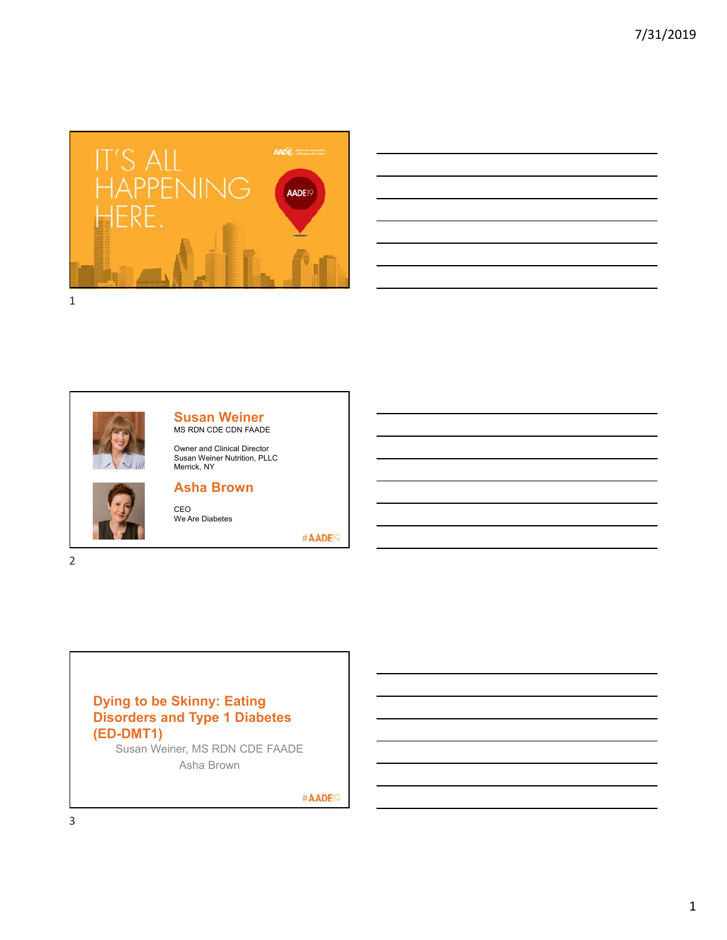





**Susan Weiner** MS RDN CDE CDN FAADE

Owner and Clinical Director Susan Weiner Nutrition, PLLC Merrick, NY



2

#### **Asha Brown**

CEO We Are Diabetes

#AADE<sup>19</sup>

# **Dying to be Skinny: Eating Disorders and Type 1 Diabetes (ED-DMT1)**

Susan Weiner, MS RDN CDE FAADE Asha Brown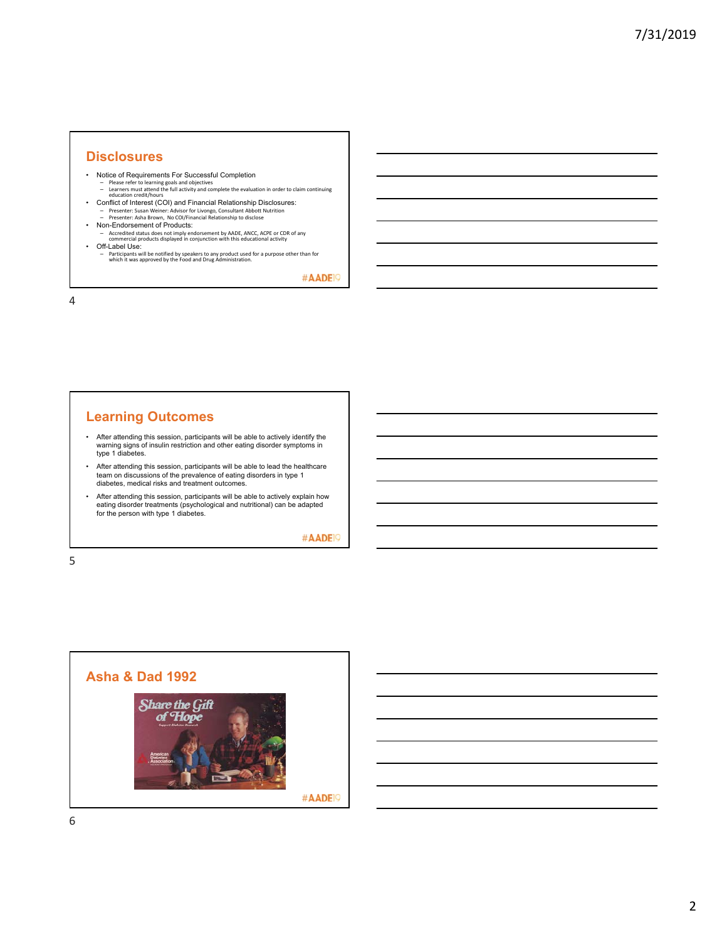#### **Disclosures**

- Notice of Requirements For Successful Completion
- Please refer to learning goals and objectives<br>– Learners must attend the full activity and complete the evaluation in order to claim continuing<br>education credit/hours
- Conflict of Interest (COI) and Financial Relationship Disclosures:<br>– Presenter: Susan Weiner: Advisor for Livongo, Consultant Abbott Nutrition<br>– Presenter: Asha Brown, No COI/Financial Relationship to disclose
- Non-Endorsement of Products:
- Accredited status does not imply endorsement by AADE, ANCC, ACPE or CDR of any commercial products displayed in conjunction with this educational activity
- 
- Off-Label Use: Participants will be notified by speakers to any product used for a purpose other than for which it was approved by the Food and Drug Administration.

#AADE<sup>19</sup>

4

#### **Learning Outcomes**

- After attending this session, participants will be able to actively identify the warning signs of insulin restriction and other eating disorder symptoms in type 1 diabetes.
- After attending this session, participants will be able to lead the healthcare team on discussions of the prevalence of eating disorders in type 1 diabetes, medical risks and treatment outcomes.
- After attending this session, participants will be able to actively explain how eating disorder treatments (psychological and nutritional) can be adapted for the person with type 1 diabetes.

#AADE<sup>19</sup>

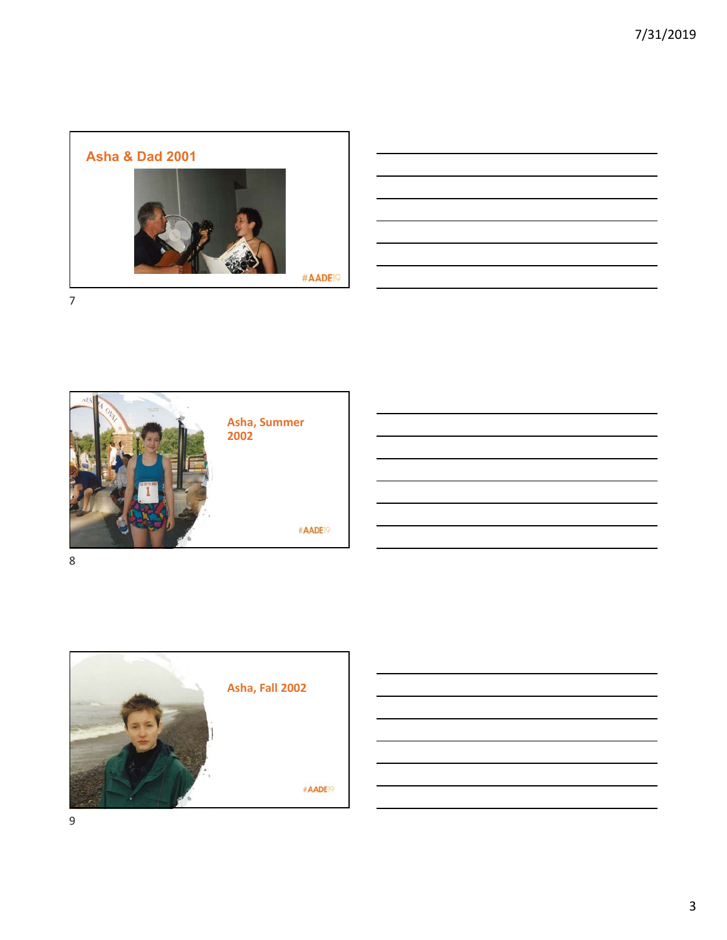





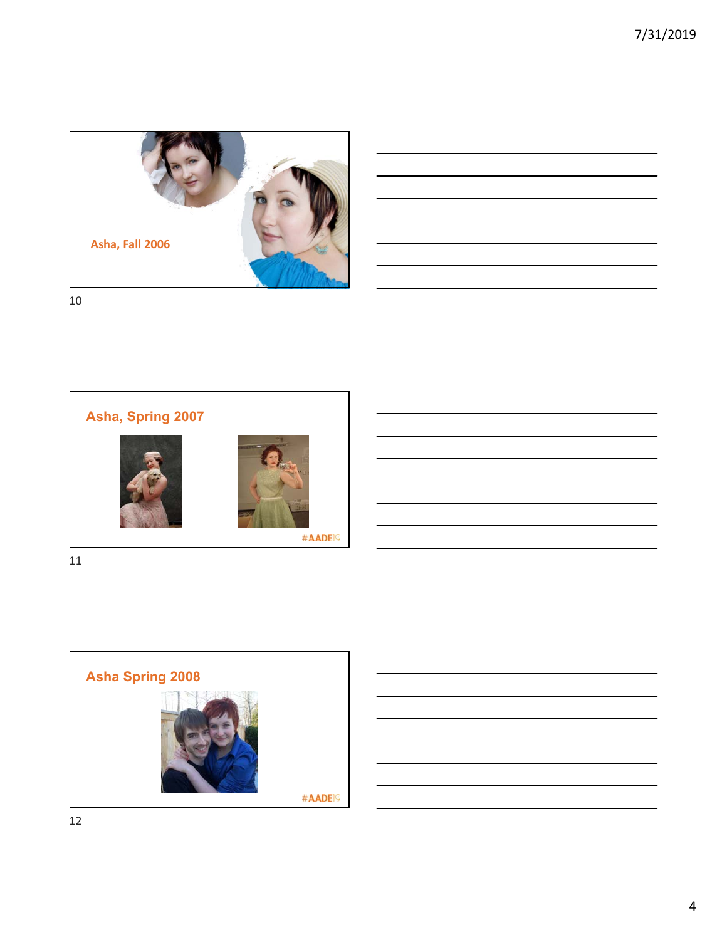7/31/2019



10



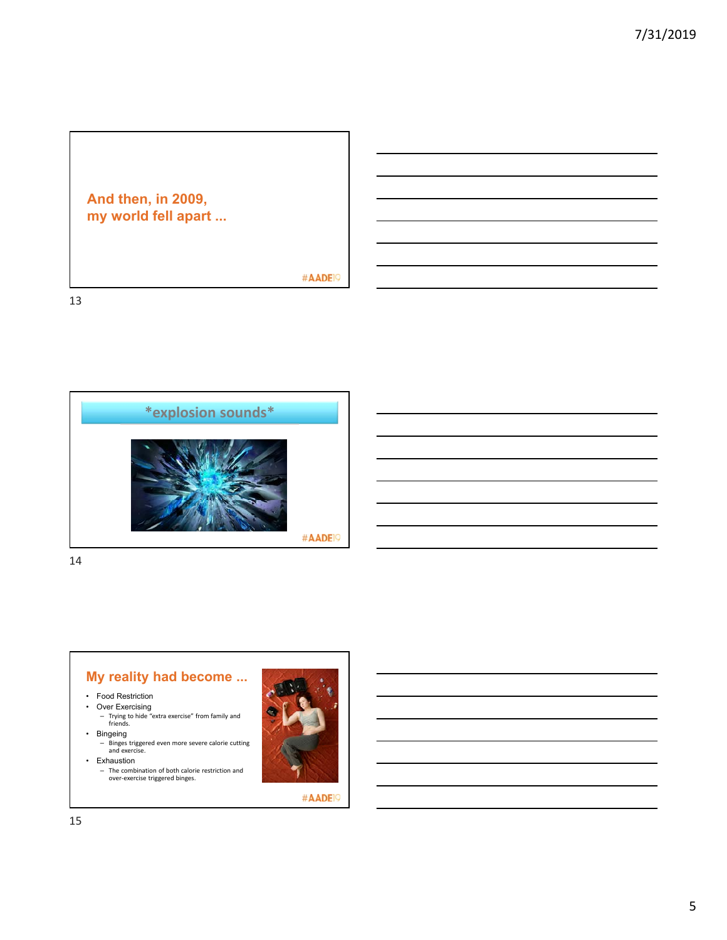

#AADE<sup>19</sup>

13



14



- Food Restriction
- Over Exercising
	- Trying to hide "extra exercise" from family and friends.

• Bingeing

- Binges triggered even more severe calorie cutting and exercise. • Exhaustion
	- The combination of both calorie restriction and over‐exercise triggered binges.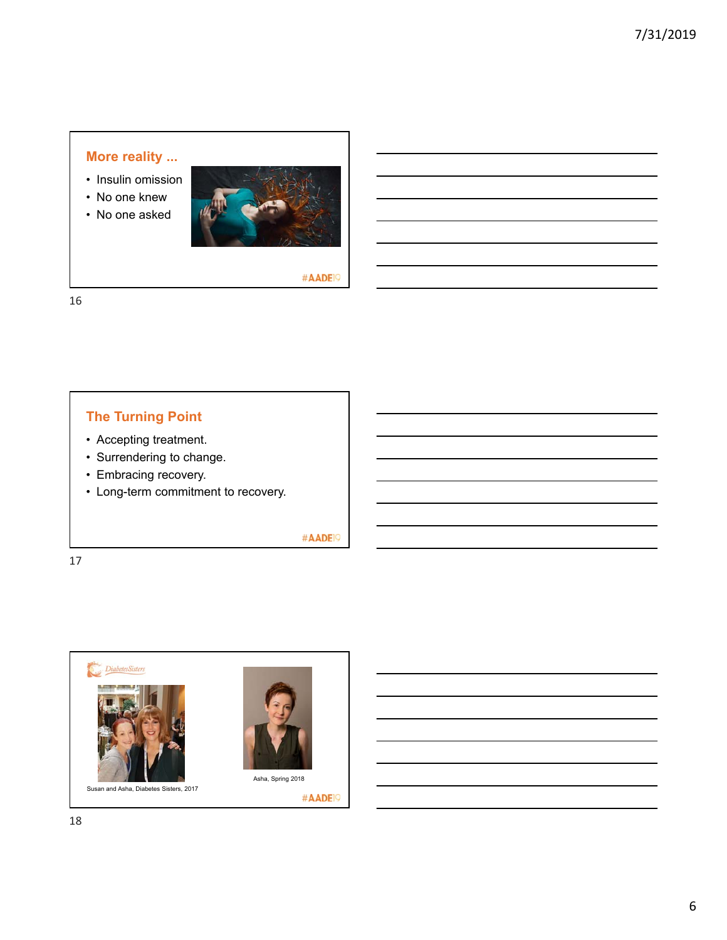## **More reality ...**

- Insulin omission
- No one knew
- No one asked



#AADE<sup>19</sup>

16

# **The Turning Point**

- Accepting treatment.
- Surrendering to change.
- Embracing recovery.
- Long-term commitment to recovery.

#AADE<sup>19</sup>

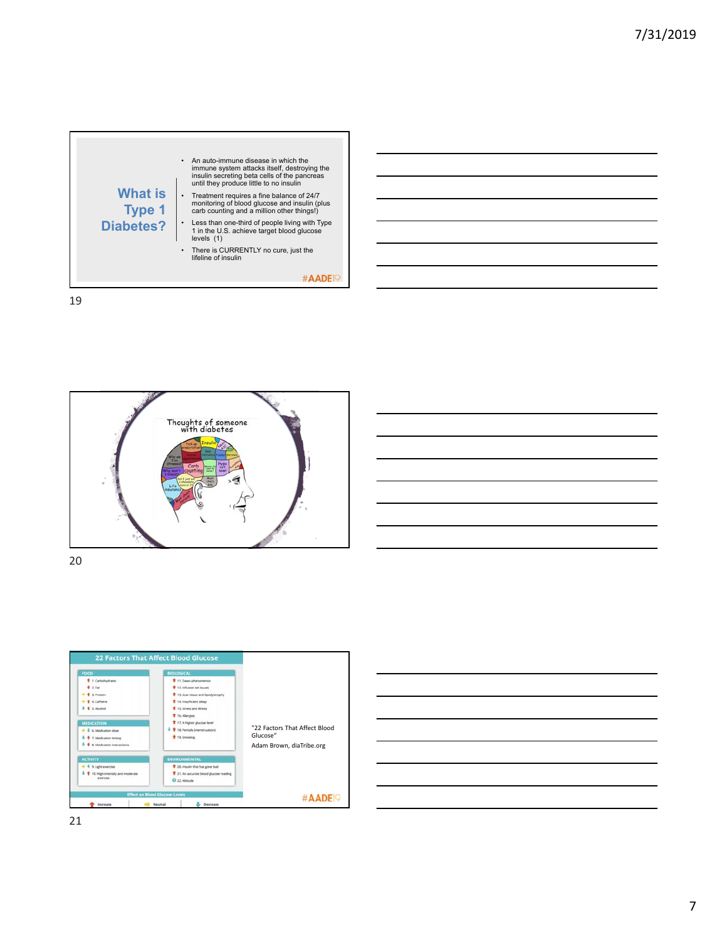





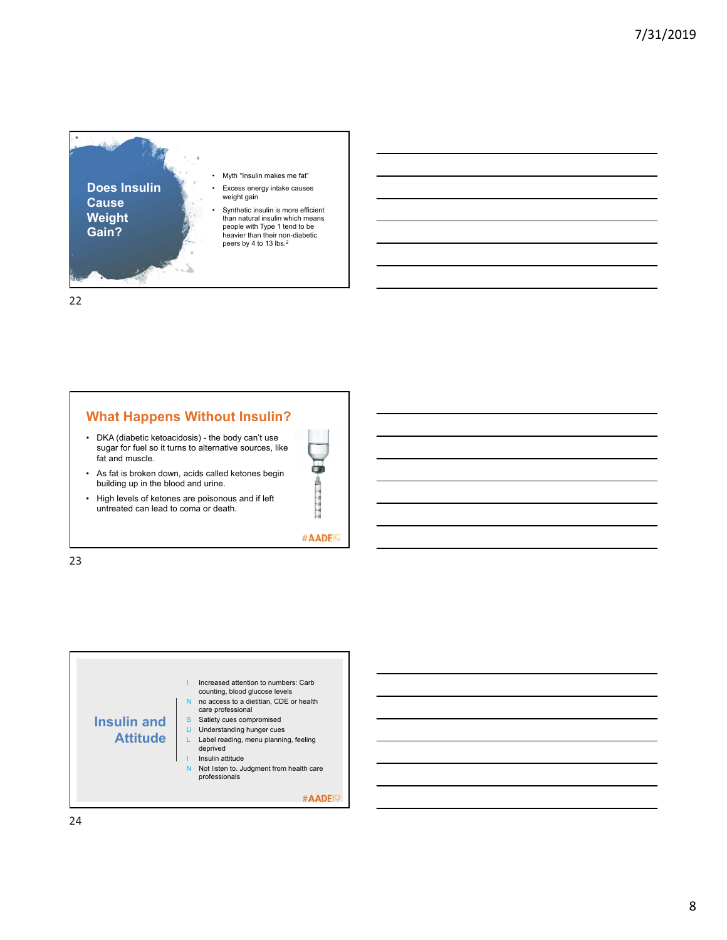

## **What Happens Without Insulin?**

- DKA (diabetic ketoacidosis) the body can't use sugar for fuel so it turns to alternative sources, like fat and muscle.
- As fat is broken down, acids called ketones begin building up in the blood and urine.
- High levels of ketones are poisonous and if left untreated can lead to coma or death.



#AADE<sup>19</sup>



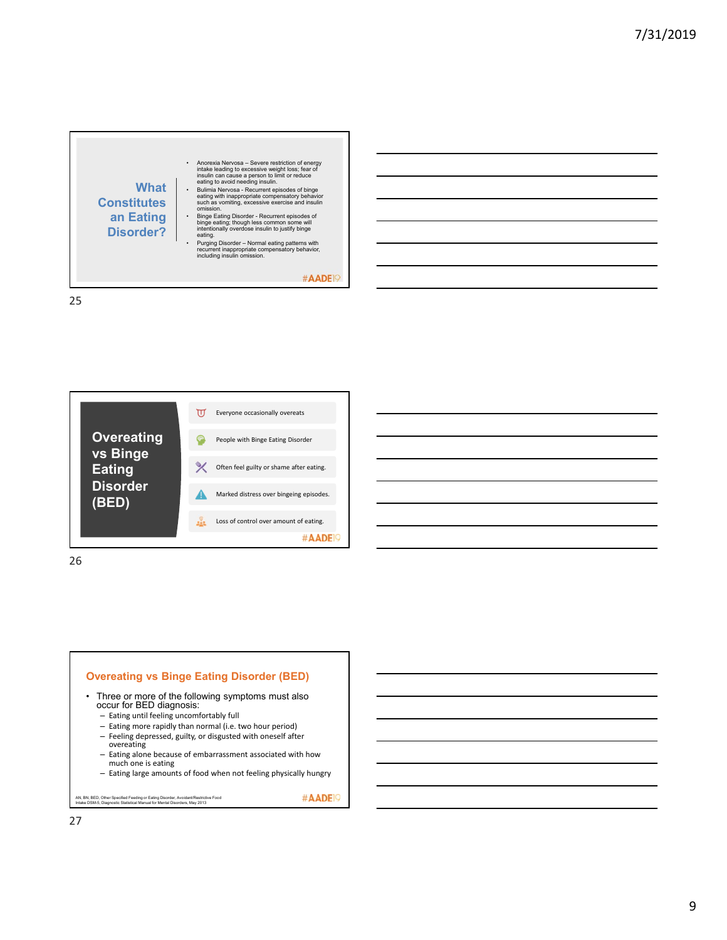





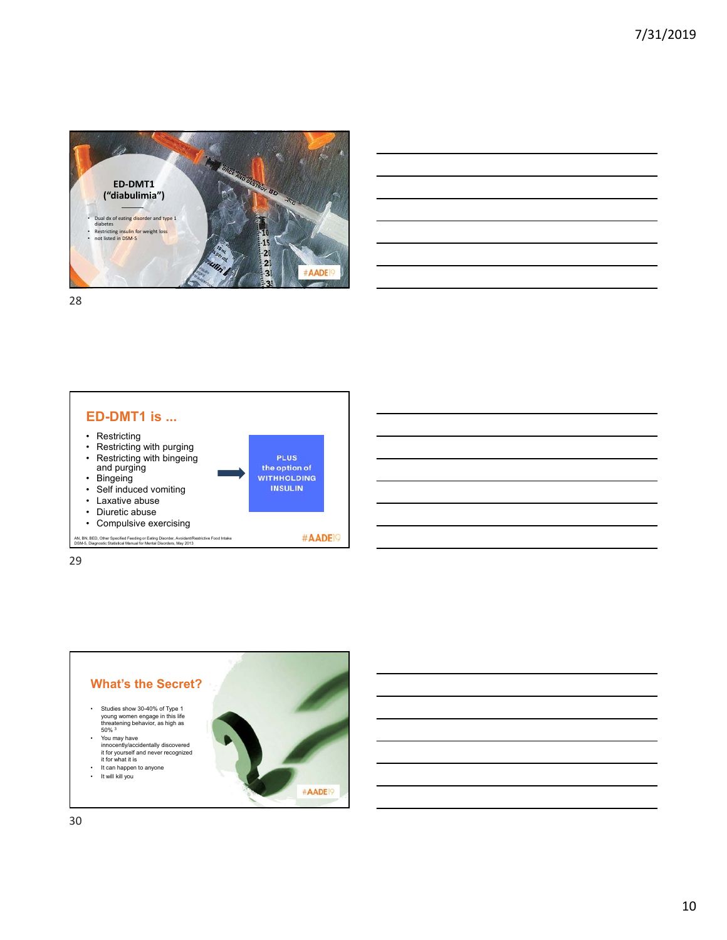





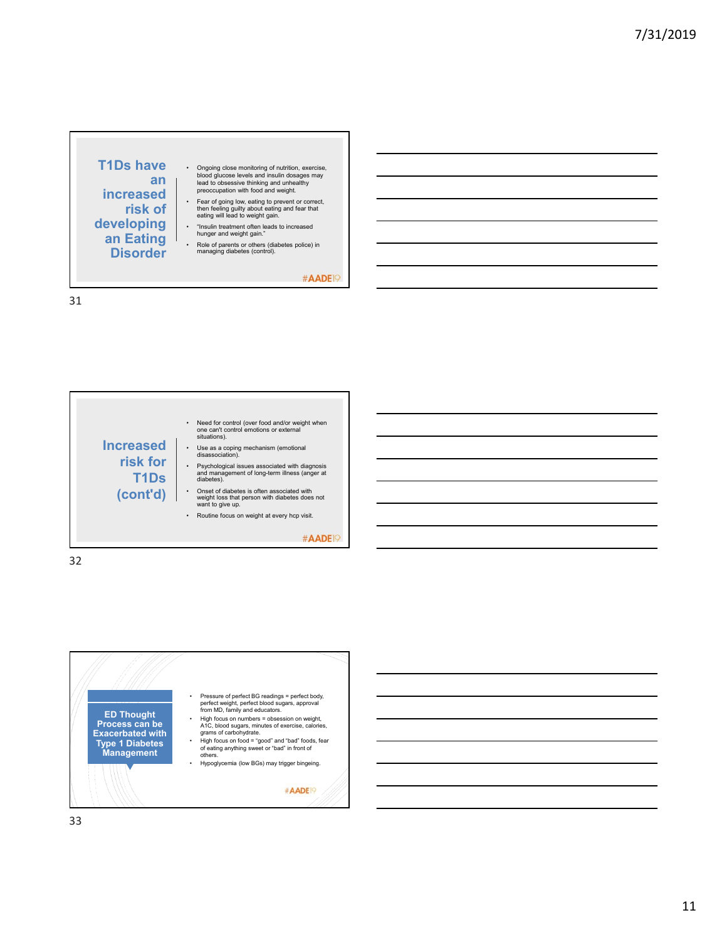

#AADE<sup>19</sup>





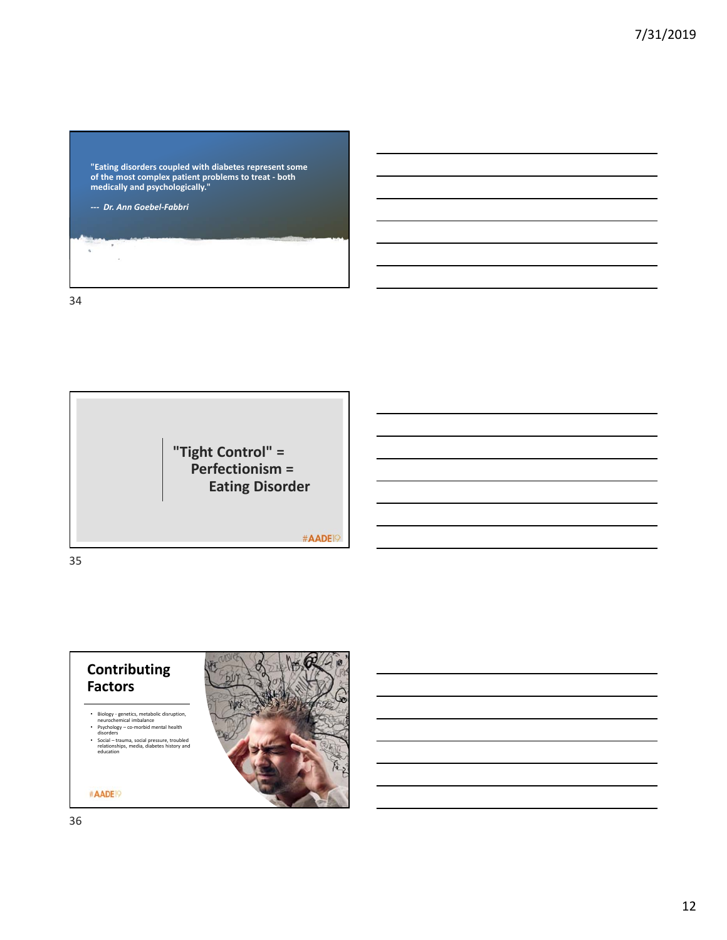

35

**"Tight Control" = Perfectionism = Eating Disorder**

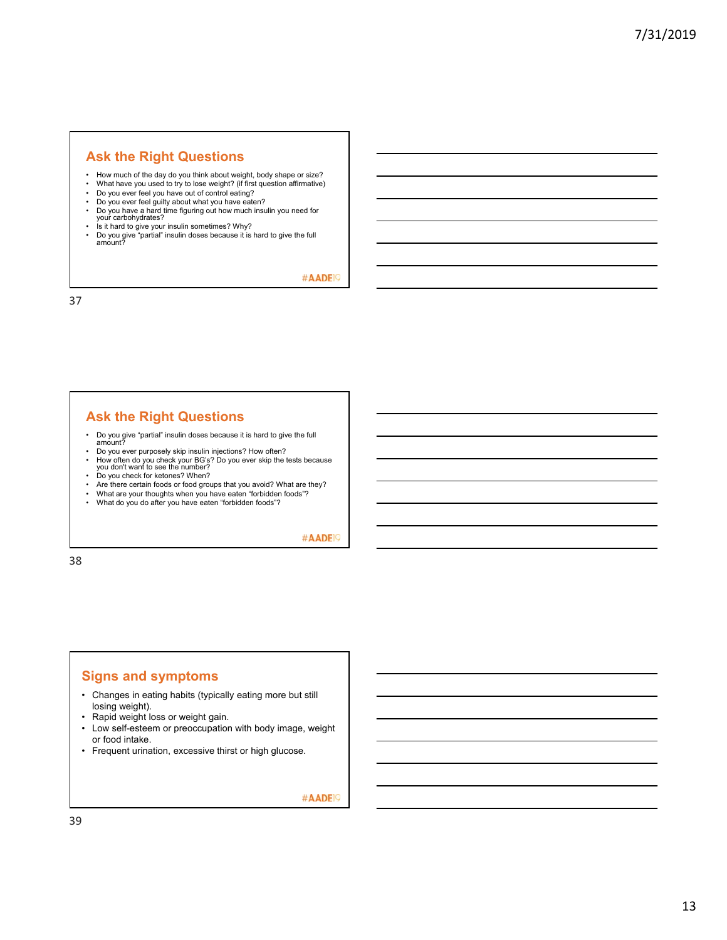#### **Ask the Right Questions**

- How much of the day do you think about weight, body shape or size?<br>• What have you used to try to lose weight? (if first question affirmative)
- What have you used to try to lose weight? (if first question affirmative)<br>• Do you ever feel you have out of control eating?
- Do you ever feel you have out of control eating?
- Do you ever feel guilty about what you have eaten? Do you have a hard time figuring out how much insulin you need for your carbohydrates?
- 
- Is it hard to give your insulin sometimes? Why? Do you give "partial" insulin doses because it is hard to give the full amount?

#AADE<sup>19</sup>

37

### **Ask the Right Questions**

- Do you give "partial" insulin doses because it is hard to give the full amount?
- Do you ever purposely skip insulin injections? How often?
- How often do you check your BG's? Do you ever skip the tests because<br>you don't want to see the number?<br>• Do you check for ketones? When?
- Do you check for ketones? When?
- Are there certain foods or food groups that you avoid? What are they?<br>• What are your thoughts when you have eaten "forbidden foods"?
- What are your thoughts when you have eaten "forbidden foods"?<br>• What do you do after you have eaten "forbidden foods"?
- What do you do after you have eaten "forbidden foods"?

#AADE<sup>19</sup>

38

#### **Signs and symptoms**

- Changes in eating habits (typically eating more but still losing weight).
- Rapid weight loss or weight gain.
- Low self-esteem or preoccupation with body image, weight or food intake.
- Frequent urination, excessive thirst or high glucose.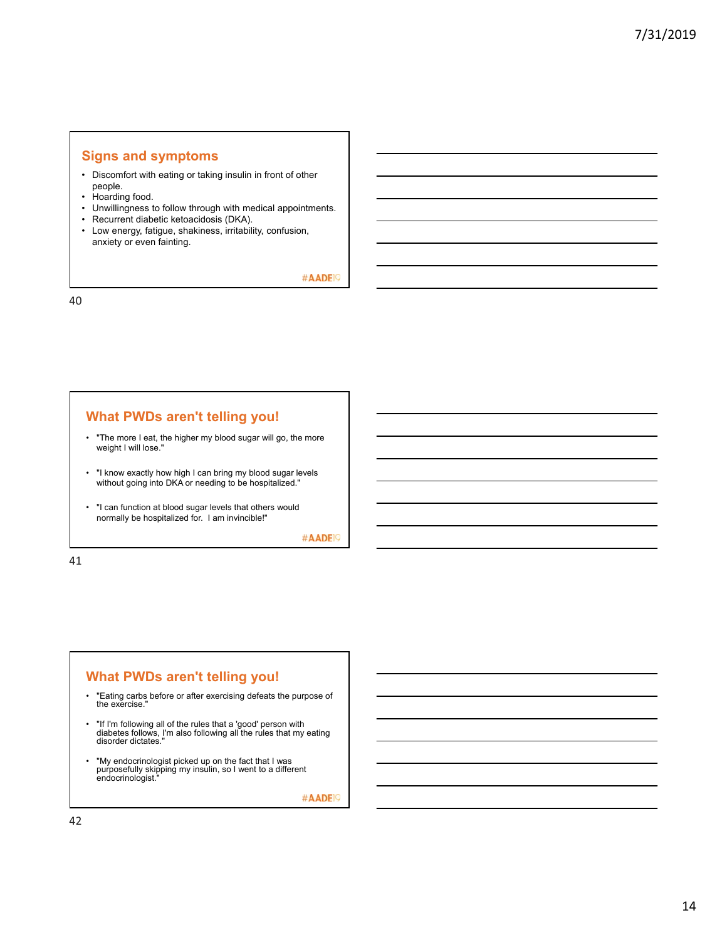#### **Signs and symptoms**

- Discomfort with eating or taking insulin in front of other people.
- Hoarding food.
- Unwillingness to follow through with medical appointments.
- Recurrent diabetic ketoacidosis (DKA).
- Low energy, fatigue, shakiness, irritability, confusion, anxiety or even fainting.

#AADE<sup>19</sup>

40

### **What PWDs aren't telling you!**

- "The more I eat, the higher my blood sugar will go, the more weight I will lose."
- "I know exactly how high I can bring my blood sugar levels without going into DKA or needing to be hospitalized."
- "I can function at blood sugar levels that others would normally be hospitalized for. I am invincible!"

#AADE<sup>19</sup>

41

#### **What PWDs aren't telling you!**

- "Eating carbs before or after exercising defeats the purpose of the exercise."
- "If I'm following all of the rules that a 'good' person with diabetes follows, I'm also following all the rules that my eating disorder dictates."
- "My endocrinologist picked up on the fact that I was purposefully skipping my insulin, so I went to a different endocrinologist."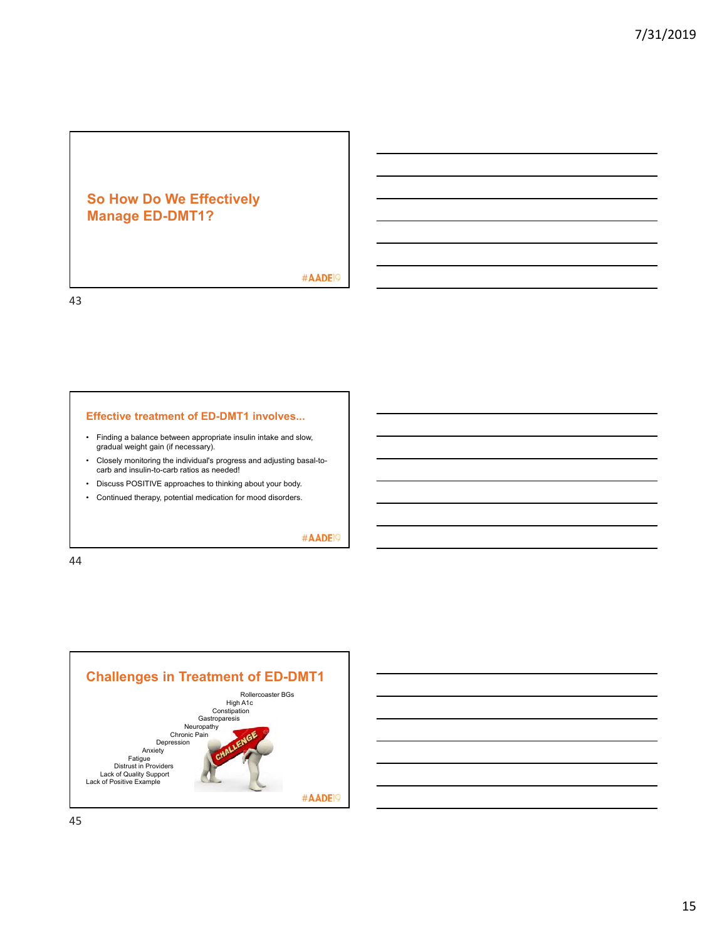# **So How Do We Effectively Manage ED-DMT1?**

#AADE<sup>19</sup>

43

#### **Effective treatment of ED-DMT1 involves...**

- Finding a balance between appropriate insulin intake and slow, gradual weight gain (if necessary).
- Closely monitoring the individual's progress and adjusting basal-to-carb and insulin-to-carb ratios as needed!
- Discuss POSITIVE approaches to thinking about your body.
- Continued therapy, potential medication for mood disorders.

#AADE<sup>19</sup>



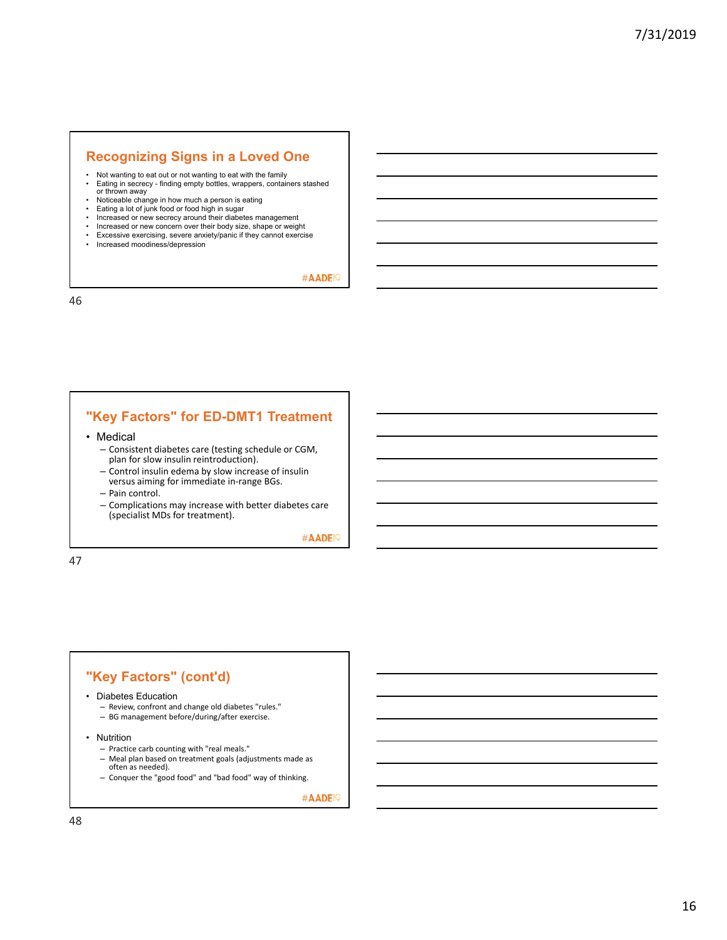### **Recognizing Signs in a Loved One**

- Not wanting to eat out or not wanting to eat with the family<br>• Fating in secrecy finding empty bottles, wrappers, contained
- Eating in secrecy finding empty bottles, wrappers, containers stashed or thrown away
- Noticeable change in how much a person is eating
- Eating a lot of junk food or food high in sugar<br>• Increased or new secrecy around their diabet
- Increased or new secrecy around their diabetes management
- Increased or new concern over their body size, shape or weight Excessive exercising, severe anxiety/panic if they cannot exercise
- Increased moodiness/depression

#AADE<sup>19</sup>

46

## **"Key Factors" for ED-DMT1 Treatment**

- Medical
	- Consistent diabetes care (testing schedule or CGM, plan for slow insulin reintroduction).
	- Control insulin edema by slow increase of insulin versus aiming for immediate in‐range BGs.
	- Pain control.
	- Complications may increase with better diabetes care (specialist MDs for treatment).

#AADE<sup>19</sup>

47

## **"Key Factors" (cont'd)**

- Diabetes Education
	- Review, confront and change old diabetes "rules."
	- BG management before/during/after exercise.
- Nutrition
	- Practice carb counting with "real meals."
	- Meal plan based on treatment goals (adjustments made as often as needed).
	- Conquer the "good food" and "bad food" way of thinking.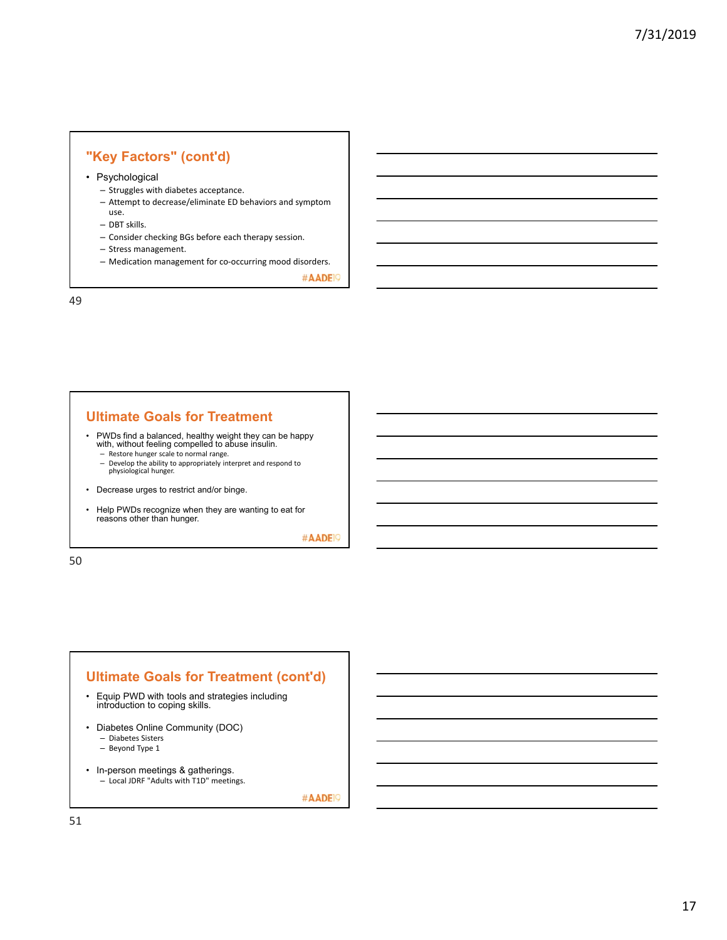# **"Key Factors" (cont'd)**

• Psychological

- Struggles with diabetes acceptance.
- Attempt to decrease/eliminate ED behaviors and symptom use.
- DBT skills.
- 
- Consider checking BGs before each therapy session.
- Stress management.
- Medication management for co‐occurring mood disorders.

#AADE<sup>19</sup>

49

#### **Ultimate Goals for Treatment**

• PWDs find a balanced, healthy weight they can be happy with, without feeling compelled to abuse insulin.

- Restore hunger scale to normal range.
- Develop the ability to appropriately interpret and respond to physiological hunger.
- Decrease urges to restrict and/or binge.
- Help PWDs recognize when they are wanting to eat for reasons other than hunger.

#AADE<sup>19</sup>

50

### **Ultimate Goals for Treatment (cont'd)**

- Equip PWD with tools and strategies including introduction to coping skills.
- Diabetes Online Community (DOC) – Diabetes Sisters
	- Beyond Type 1
- In-person meetings & gatherings. – Local JDRF "Adults with T1D" meetings.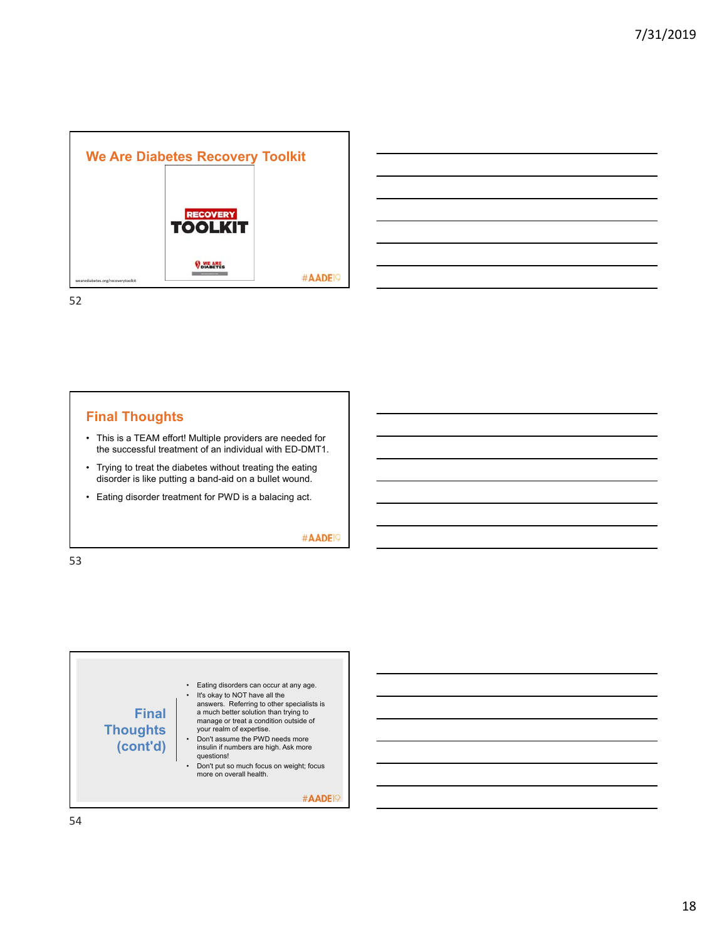



## **Final Thoughts**

- This is a TEAM effort! Multiple providers are needed for the successful treatment of an individual with ED-DMT1.
- Trying to treat the diabetes without treating the eating disorder is like putting a band-aid on a bullet wound.
- Eating disorder treatment for PWD is a balacing act.

#AADE<sup>19</sup>

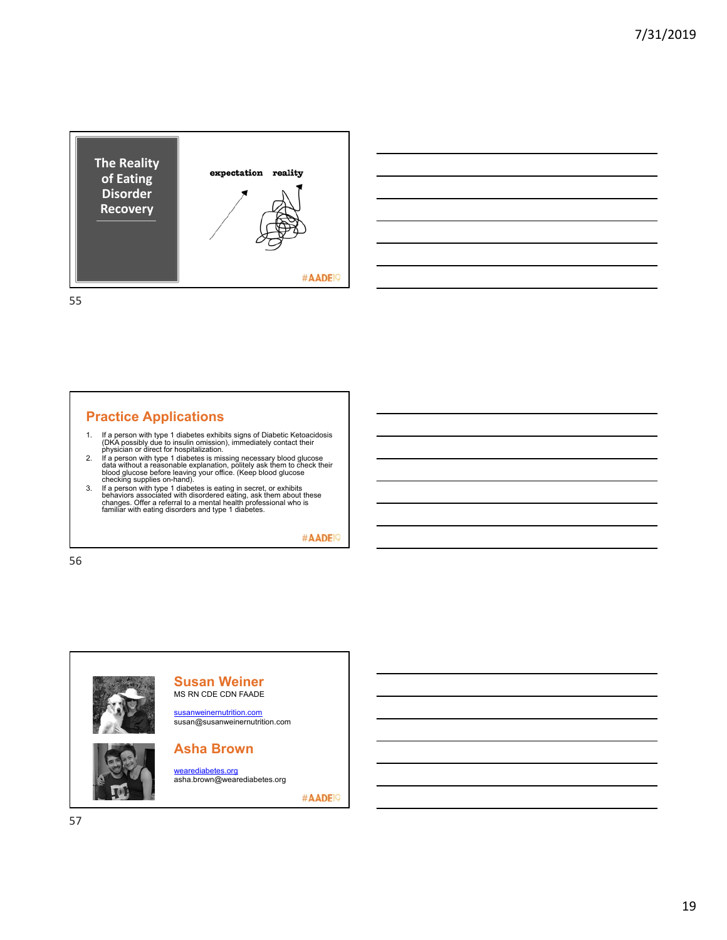



# **Practice Applications**

- 
- 1. If a person with type 1 diabetes exhibits signs of Diabetic Ketoacidosis<br>(DKA possibly due to insulin omission), inmediately contact their<br>physician or direct for hospitalization.<br>2. If a person with type 1 diabetes is
- 

#AADE<sup>19</sup>